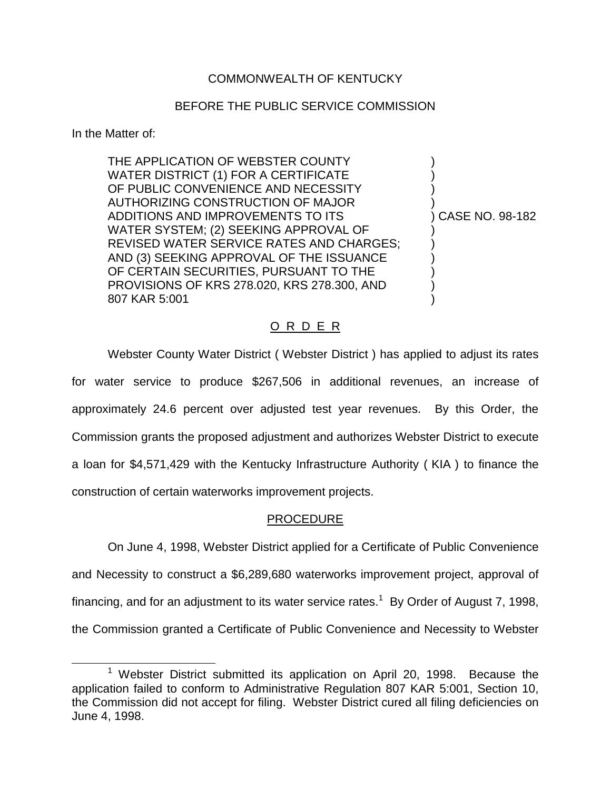## COMMONWEALTH OF KENTUCKY

## BEFORE THE PUBLIC SERVICE COMMISSION

#### In the Matter of:

THE APPLICATION OF WEBSTER COUNTY WATER DISTRICT (1) FOR A CERTIFICATE OF PUBLIC CONVENIENCE AND NECESSITY AUTHORIZING CONSTRUCTION OF MAJOR ) ADDITIONS AND IMPROVEMENTS TO ITS ) CASE NO. 98-182 WATER SYSTEM; (2) SEEKING APPROVAL OF ) REVISED WATER SERVICE RATES AND CHARGES; AND (3) SEEKING APPROVAL OF THE ISSUANCE OF CERTAIN SECURITIES, PURSUANT TO THE PROVISIONS OF KRS 278.020, KRS 278.300, AND ) 807 KAR 5:001 )

## O R D E R

Webster County Water District ( Webster District ) has applied to adjust its rates for water service to produce \$267,506 in additional revenues, an increase of approximately 24.6 percent over adjusted test year revenues. By this Order, the Commission grants the proposed adjustment and authorizes Webster District to execute a loan for \$4,571,429 with the Kentucky Infrastructure Authority ( KIA ) to finance the construction of certain waterworks improvement projects.

#### PROCEDURE

On June 4, 1998, Webster District applied for a Certificate of Public Convenience and Necessity to construct a \$6,289,680 waterworks improvement project, approval of financing, and for an adjustment to its water service rates.<sup>1</sup> By Order of August 7, 1998, the Commission granted a Certificate of Public Convenience and Necessity to Webster

 $1$  Webster District submitted its application on April 20, 1998. Because the application failed to conform to Administrative Regulation 807 KAR 5:001, Section 10, the Commission did not accept for filing. Webster District cured all filing deficiencies on June 4, 1998.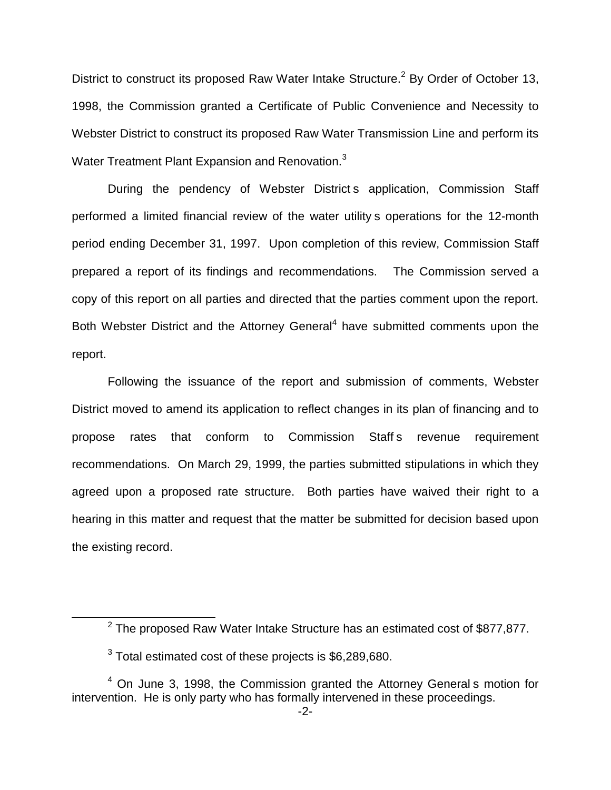District to construct its proposed Raw Water Intake Structure.<sup>2</sup> By Order of October 13, 1998, the Commission granted a Certificate of Public Convenience and Necessity to Webster District to construct its proposed Raw Water Transmission Line and perform its Water Treatment Plant Expansion and Renovation.<sup>3</sup>

During the pendency of Webster District s application, Commission Staff performed a limited financial review of the water utility s operations for the 12-month period ending December 31, 1997. Upon completion of this review, Commission Staff prepared a report of its findings and recommendations. The Commission served a copy of this report on all parties and directed that the parties comment upon the report. Both Webster District and the Attorney General<sup>4</sup> have submitted comments upon the report.

Following the issuance of the report and submission of comments, Webster District moved to amend its application to reflect changes in its plan of financing and to propose rates that conform to Commission Staff s revenue requirement recommendations. On March 29, 1999, the parties submitted stipulations in which they agreed upon a proposed rate structure. Both parties have waived their right to a hearing in this matter and request that the matter be submitted for decision based upon the existing record.

 $2$  The proposed Raw Water Intake Structure has an estimated cost of \$877,877.

<sup>&</sup>lt;sup>3</sup> Total estimated cost of these projects is \$6,289,680.

<sup>4</sup> On June 3, 1998, the Commission granted the Attorney General s motion for intervention. He is only party who has formally intervened in these proceedings.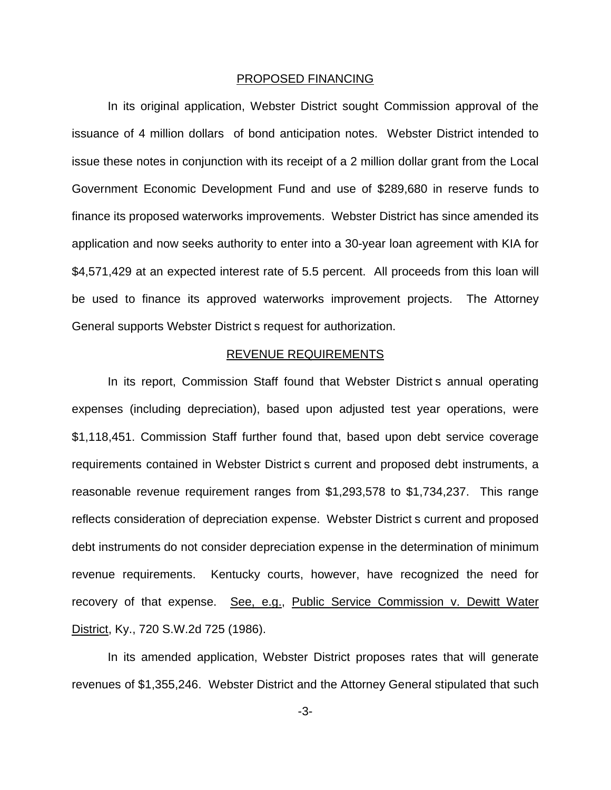#### PROPOSED FINANCING

In its original application, Webster District sought Commission approval of the issuance of 4 million dollars of bond anticipation notes. Webster District intended to issue these notes in conjunction with its receipt of a 2 million dollar grant from the Local Government Economic Development Fund and use of \$289,680 in reserve funds to finance its proposed waterworks improvements. Webster District has since amended its application and now seeks authority to enter into a 30-year loan agreement with KIA for \$4,571,429 at an expected interest rate of 5.5 percent. All proceeds from this loan will be used to finance its approved waterworks improvement projects. The Attorney General supports Webster District s request for authorization.

#### REVENUE REQUIREMENTS

In its report, Commission Staff found that Webster District s annual operating expenses (including depreciation), based upon adjusted test year operations, were \$1,118,451. Commission Staff further found that, based upon debt service coverage requirements contained in Webster District s current and proposed debt instruments, a reasonable revenue requirement ranges from \$1,293,578 to \$1,734,237. This range reflects consideration of depreciation expense. Webster District s current and proposed debt instruments do not consider depreciation expense in the determination of minimum revenue requirements. Kentucky courts, however, have recognized the need for recovery of that expense. See, e.g., Public Service Commission v. Dewitt Water District, Ky., 720 S.W.2d 725 (1986).

In its amended application, Webster District proposes rates that will generate revenues of \$1,355,246. Webster District and the Attorney General stipulated that such

-3-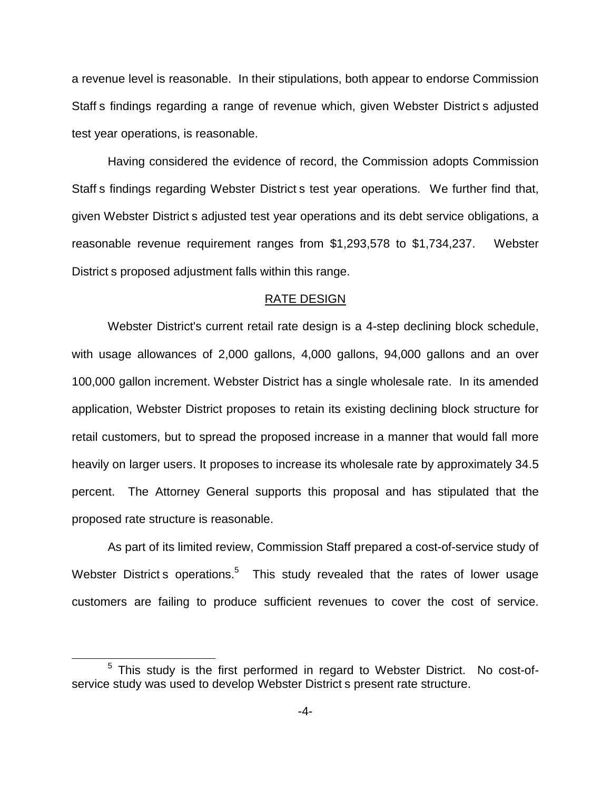a revenue level is reasonable. In their stipulations, both appear to endorse Commission Staff s findings regarding a range of revenue which, given Webster District s adjusted test year operations, is reasonable.

Having considered the evidence of record, the Commission adopts Commission Staff s findings regarding Webster District s test year operations. We further find that, given Webster District s adjusted test year operations and its debt service obligations, a reasonable revenue requirement ranges from \$1,293,578 to \$1,734,237. Webster District s proposed adjustment falls within this range.

#### RATE DESIGN

Webster District's current retail rate design is a 4-step declining block schedule, with usage allowances of 2,000 gallons, 4,000 gallons, 94,000 gallons and an over 100,000 gallon increment. Webster District has a single wholesale rate. In its amended application, Webster District proposes to retain its existing declining block structure for retail customers, but to spread the proposed increase in a manner that would fall more heavily on larger users. It proposes to increase its wholesale rate by approximately 34.5 percent. The Attorney General supports this proposal and has stipulated that the proposed rate structure is reasonable.

As part of its limited review, Commission Staff prepared a cost-of-service study of Webster District s operations.<sup>5</sup> This study revealed that the rates of lower usage customers are failing to produce sufficient revenues to cover the cost of service.

<sup>&</sup>lt;sup>5</sup> This study is the first performed in regard to Webster District. No cost-ofservice study was used to develop Webster District s present rate structure.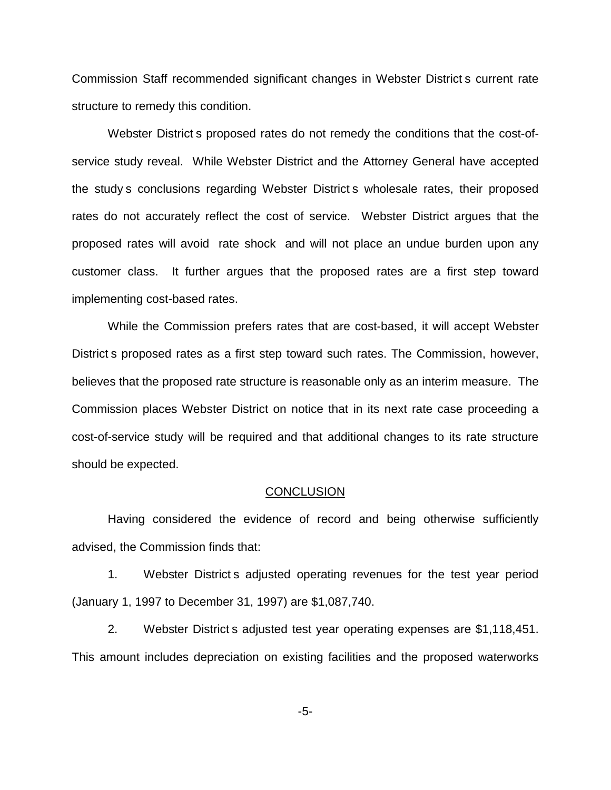Commission Staff recommended significant changes in Webster District s current rate structure to remedy this condition.

Webster District s proposed rates do not remedy the conditions that the cost-ofservice study reveal. While Webster District and the Attorney General have accepted the study s conclusions regarding Webster District s wholesale rates, their proposed rates do not accurately reflect the cost of service. Webster District argues that the proposed rates will avoid rate shock and will not place an undue burden upon any customer class. It further argues that the proposed rates are a first step toward implementing cost-based rates.

While the Commission prefers rates that are cost-based, it will accept Webster District s proposed rates as a first step toward such rates. The Commission, however, believes that the proposed rate structure is reasonable only as an interim measure. The Commission places Webster District on notice that in its next rate case proceeding a cost-of-service study will be required and that additional changes to its rate structure should be expected.

#### **CONCLUSION**

Having considered the evidence of record and being otherwise sufficiently advised, the Commission finds that:

1. Webster District s adjusted operating revenues for the test year period (January 1, 1997 to December 31, 1997) are \$1,087,740.

2. Webster District s adjusted test year operating expenses are \$1,118,451. This amount includes depreciation on existing facilities and the proposed waterworks

-5-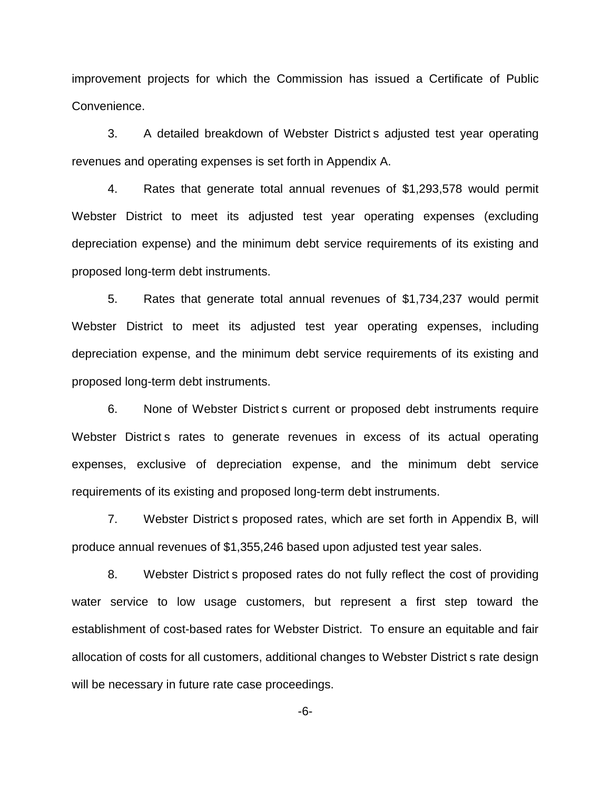improvement projects for which the Commission has issued a Certificate of Public Convenience.

3. A detailed breakdown of Webster District s adjusted test year operating revenues and operating expenses is set forth in Appendix A.

4. Rates that generate total annual revenues of \$1,293,578 would permit Webster District to meet its adjusted test year operating expenses (excluding depreciation expense) and the minimum debt service requirements of its existing and proposed long-term debt instruments.

5. Rates that generate total annual revenues of \$1,734,237 would permit Webster District to meet its adjusted test year operating expenses, including depreciation expense, and the minimum debt service requirements of its existing and proposed long-term debt instruments.

6. None of Webster District s current or proposed debt instruments require Webster District s rates to generate revenues in excess of its actual operating expenses, exclusive of depreciation expense, and the minimum debt service requirements of its existing and proposed long-term debt instruments.

7. Webster District s proposed rates, which are set forth in Appendix B, will produce annual revenues of \$1,355,246 based upon adjusted test year sales.

8. Webster District s proposed rates do not fully reflect the cost of providing water service to low usage customers, but represent a first step toward the establishment of cost-based rates for Webster District. To ensure an equitable and fair allocation of costs for all customers, additional changes to Webster District s rate design will be necessary in future rate case proceedings.

-6-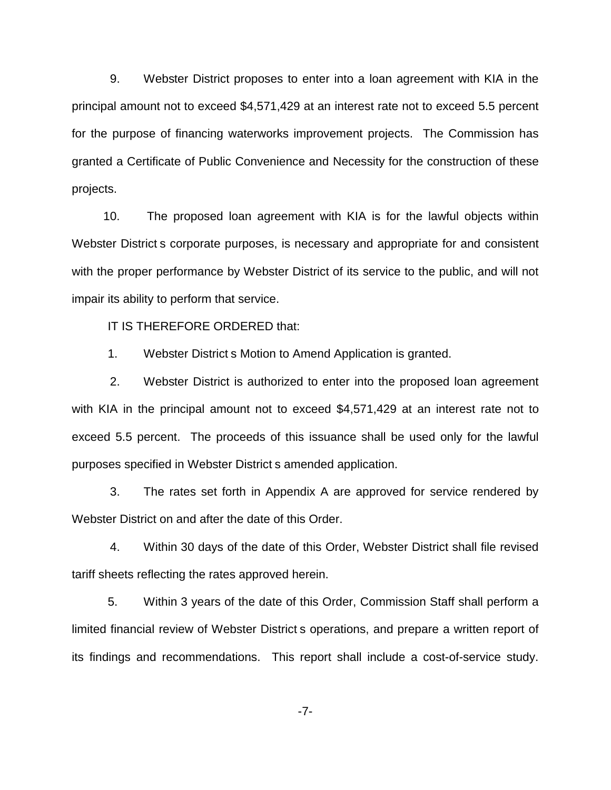9. Webster District proposes to enter into a loan agreement with KIA in the principal amount not to exceed \$4,571,429 at an interest rate not to exceed 5.5 percent for the purpose of financing waterworks improvement projects. The Commission has granted a Certificate of Public Convenience and Necessity for the construction of these projects.

10. The proposed loan agreement with KIA is for the lawful objects within Webster District s corporate purposes, is necessary and appropriate for and consistent with the proper performance by Webster District of its service to the public, and will not impair its ability to perform that service.

IT IS THEREFORE ORDERED that:

1. Webster District s Motion to Amend Application is granted.

2. Webster District is authorized to enter into the proposed loan agreement with KIA in the principal amount not to exceed \$4,571,429 at an interest rate not to exceed 5.5 percent. The proceeds of this issuance shall be used only for the lawful purposes specified in Webster District s amended application.

3. The rates set forth in Appendix A are approved for service rendered by Webster District on and after the date of this Order.

4. Within 30 days of the date of this Order, Webster District shall file revised tariff sheets reflecting the rates approved herein.

5. Within 3 years of the date of this Order, Commission Staff shall perform a limited financial review of Webster District s operations, and prepare a written report of its findings and recommendations. This report shall include a cost-of-service study.

-7-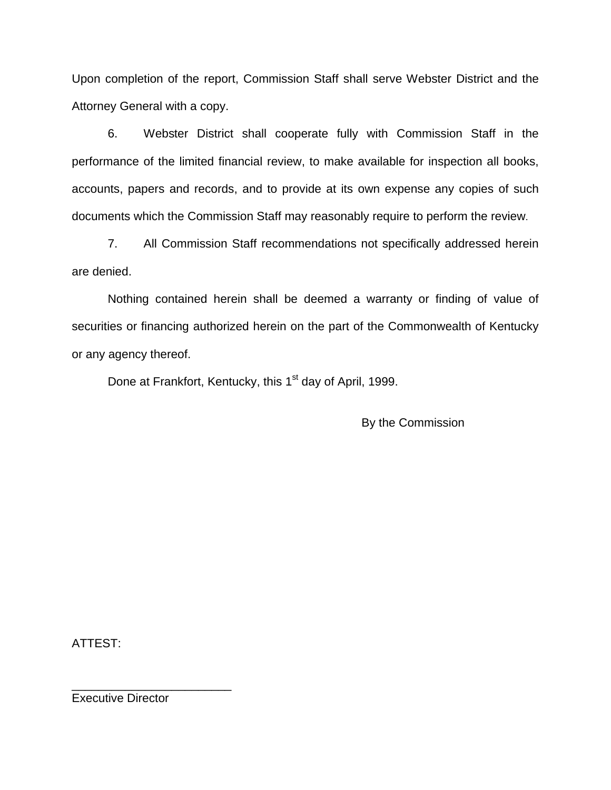Upon completion of the report, Commission Staff shall serve Webster District and the Attorney General with a copy.

6. Webster District shall cooperate fully with Commission Staff in the performance of the limited financial review, to make available for inspection all books, accounts, papers and records, and to provide at its own expense any copies of such documents which the Commission Staff may reasonably require to perform the review.

7. All Commission Staff recommendations not specifically addressed herein are denied.

Nothing contained herein shall be deemed a warranty or finding of value of securities or financing authorized herein on the part of the Commonwealth of Kentucky or any agency thereof.

Done at Frankfort, Kentucky, this 1<sup>st</sup> day of April, 1999.

By the Commission

ATTEST:

Executive Director

\_\_\_\_\_\_\_\_\_\_\_\_\_\_\_\_\_\_\_\_\_\_\_\_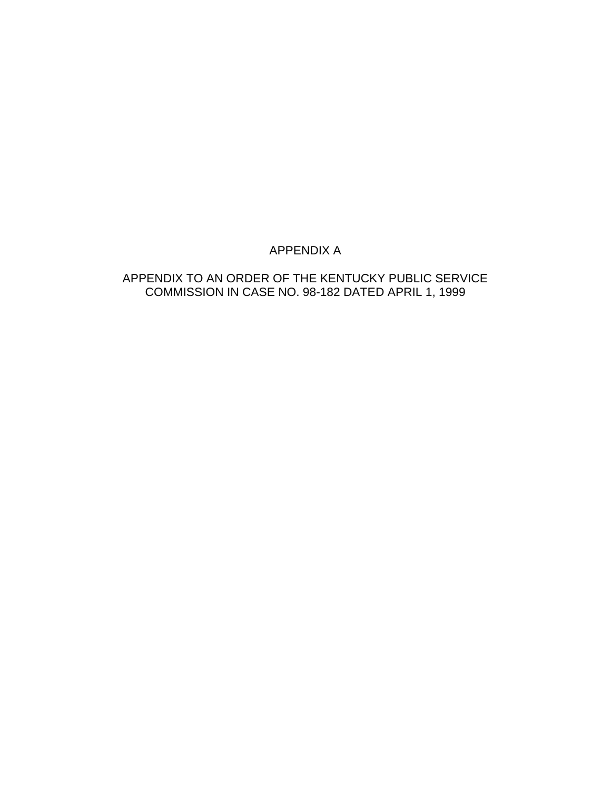# APPENDIX A

# APPENDIX TO AN ORDER OF THE KENTUCKY PUBLIC SERVICE COMMISSION IN CASE NO. 98-182 DATED APRIL 1, 1999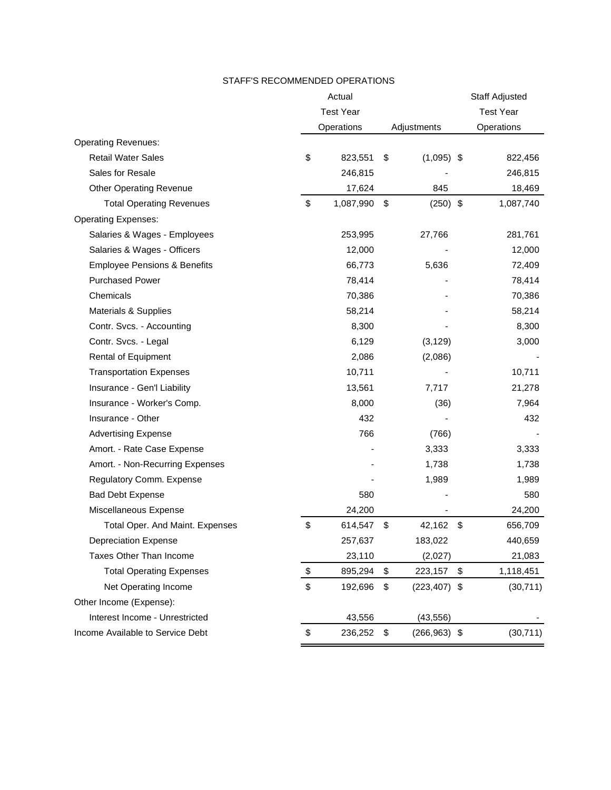#### STAFF'S RECOMMENDED OPERATIONS

|                                         | Actual           |                       | Staff Adjusted   |
|-----------------------------------------|------------------|-----------------------|------------------|
|                                         | <b>Test Year</b> |                       | <b>Test Year</b> |
|                                         | Operations       | Adjustments           | Operations       |
| <b>Operating Revenues:</b>              |                  |                       |                  |
| <b>Retail Water Sales</b>               | \$<br>823,551    | \$<br>$(1,095)$ \$    | 822,456          |
| Sales for Resale                        | 246,815          |                       | 246,815          |
| <b>Other Operating Revenue</b>          | 17,624           | 845                   | 18,469           |
| <b>Total Operating Revenues</b>         | \$<br>1,087,990  | \$<br>$(250)$ \$      | 1,087,740        |
| <b>Operating Expenses:</b>              |                  |                       |                  |
| Salaries & Wages - Employees            | 253,995          | 27,766                | 281,761          |
| Salaries & Wages - Officers             | 12,000           |                       | 12,000           |
| <b>Employee Pensions &amp; Benefits</b> | 66,773           | 5,636                 | 72,409           |
| <b>Purchased Power</b>                  | 78,414           |                       | 78,414           |
| Chemicals                               | 70,386           |                       | 70,386           |
| Materials & Supplies                    | 58,214           |                       | 58,214           |
| Contr. Svcs. - Accounting               | 8,300            |                       | 8,300            |
| Contr. Svcs. - Legal                    | 6,129            | (3, 129)              | 3,000            |
| Rental of Equipment                     | 2,086            | (2,086)               |                  |
| <b>Transportation Expenses</b>          | 10,711           |                       | 10,711           |
| Insurance - Gen'l Liability             | 13,561           | 7,717                 | 21,278           |
| Insurance - Worker's Comp.              | 8,000            | (36)                  | 7,964            |
| Insurance - Other                       | 432              |                       | 432              |
| <b>Advertising Expense</b>              | 766              | (766)                 |                  |
| Amort. - Rate Case Expense              |                  | 3,333                 | 3,333            |
| Amort. - Non-Recurring Expenses         |                  | 1,738                 | 1,738            |
| Regulatory Comm. Expense                |                  | 1,989                 | 1,989            |
| <b>Bad Debt Expense</b>                 | 580              |                       | 580              |
| Miscellaneous Expense                   | 24,200           |                       | 24,200           |
| Total Oper. And Maint. Expenses         | \$<br>614,547    | \$<br>42,162          | \$<br>656,709    |
| <b>Depreciation Expense</b>             | 257,637          | 183,022               | 440,659          |
| Taxes Other Than Income                 | 23,110           | (2,027)               | 21,083           |
| <b>Total Operating Expenses</b>         | \$<br>895,294    | \$<br>223,157         | \$<br>1,118,451  |
| Net Operating Income                    | \$<br>192,696    | \$<br>$(223, 407)$ \$ | (30, 711)        |
| Other Income (Expense):                 |                  |                       |                  |
| Interest Income - Unrestricted          | 43,556           | (43, 556)             |                  |
| Income Available to Service Debt        | \$<br>236,252    | \$<br>$(266, 963)$ \$ | (30, 711)        |